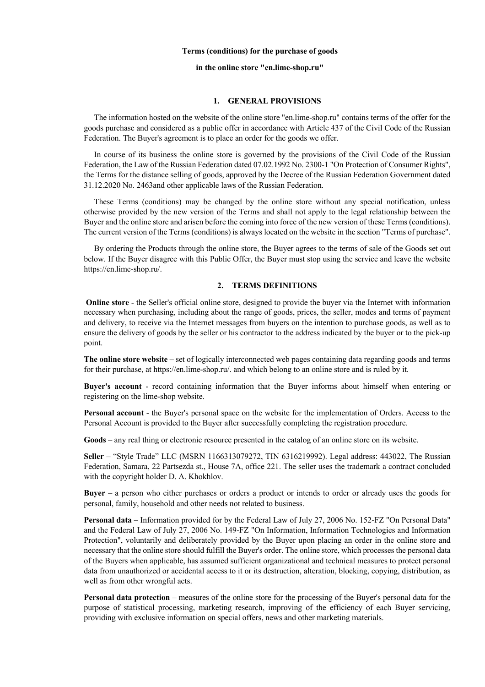#### **Terms (conditions) for the purchase of goods**

# **in the online store "en.lime-shop.ru"**

#### **1. GENERAL PROVISIONS**

 The information hosted on the website of the online store "en.lime-shop.ru" contains terms of the offer for the goods purchase and considered as a public offer in accordance with Article 437 of the Civil Code of the Russian Federation. The Buyer's agreement is to place an order for the goods we offer.

 In course of its business the online store is governed by the provisions of the Civil Code of the Russian Federation, the Law of the Russian Federation dated 07.02.1992 No. 2300-1 "On Protection of Consumer Rights", the Terms for the distance selling of goods, approved by the Decree of the Russian Federation Government dated 31.12.2020 No. 2463and other applicable laws of the Russian Federation.

 These Terms (conditions) may be changed by the online store without any special notification, unless otherwise provided by the new version of the Terms and shall not apply to the legal relationship between the Buyer and the online store and arisen before the coming into force of the new version of these Terms (conditions). The current version of the Terms (conditions) is always located on the website in the section "Terms of purchase".

 By ordering the Products through the online store, the Buyer agrees to the terms of sale of the Goods set out below. If the Buyer disagree with this Public Offer, the Buyer must stop using the service and leave the website https://en.lime-shop.ru/.

# **2. TERMS DEFINITIONS**

**Online store** - the Seller's official online store, designed to provide the buyer via the Internet with information necessary when purchasing, including about the range of goods, prices, the seller, modes and terms of payment and delivery, to receive via the Internet messages from buyers on the intention to purchase goods, as well as to ensure the delivery of goods by the seller or his contractor to the address indicated by the buyer or to the pick-up point.

**The online store website** – set of logically interconnected web pages containing data regarding goods and terms for their purchase, at https://en.lime-shop.ru/. and which belong to an online store and is ruled by it.

**Buyer's account** - record containing information that the Buyer informs about himself when entering or registering on the lime-shop website.

**Personal account** - the Buyer's personal space on the website for the implementation of Orders. Access to the Personal Account is provided to the Buyer after successfully completing the registration procedure.

**Goods** – any real thing or electronic resource presented in the catalog of an online store on its website.

**Seller** – "Style Trade" LLC (MSRN 1166313079272, TIN 6316219992). Legal address: 443022, The Russian Federation, Samara, 22 Partsezda st., House 7A, office 221. The seller uses the trademark a contract concluded with the copyright holder D. A. Khokhlov.

**Buyer** – a person who either purchases or orders a product or intends to order or already uses the goods for personal, family, household and other needs not related to business.

**Personal data** – Information provided for by the Federal Law of July 27, 2006 No. 152-FZ "On Personal Data" and the Federal Law of July 27, 2006 No. 149-FZ "On Information, Information Technologies and Information Protection", voluntarily and deliberately provided by the Buyer upon placing an order in the online store and necessary that the online store should fulfill the Buyer's order. The online store, which processes the personal data of the Buyers when applicable, has assumed sufficient organizational and technical measures to protect personal data from unauthorized or accidental access to it or its destruction, alteration, blocking, copying, distribution, as well as from other wrongful acts.

**Personal data protection** – measures of the online store for the processing of the Buyer's personal data for the purpose of statistical processing, marketing research, improving of the efficiency of each Buyer servicing, providing with exclusive information on special offers, news and other marketing materials.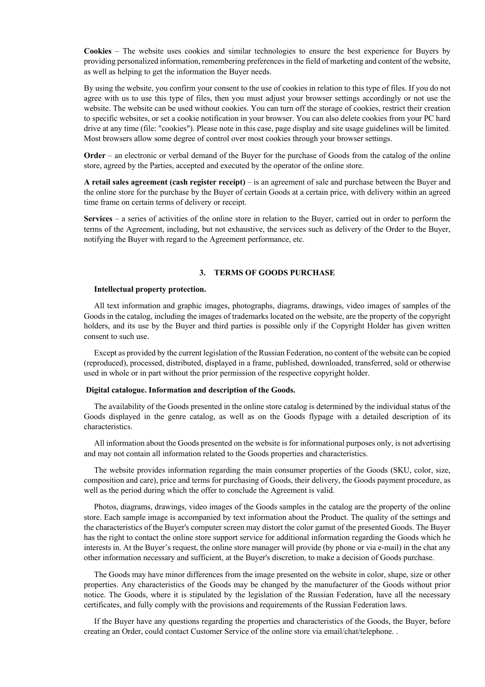**Cookies** – The website uses cookies and similar technologies to ensure the best experience for Buyers by providing personalized information, remembering preferences in the field of marketing and content of the website, as well as helping to get the information the Buyer needs.

By using the website, you confirm your consent to the use of cookies in relation to this type of files. If you do not agree with us to use this type of files, then you must adjust your browser settings accordingly or not use the website. The website can be used without cookies. You can turn off the storage of cookies, restrict their creation to specific websites, or set a cookie notification in your browser. You can also delete cookies from your PC hard drive at any time (file: "cookies"). Please note in this case, page display and site usage guidelines will be limited. Most browsers allow some degree of control over most cookies through your browser settings.

**Order** – an electronic or verbal demand of the Buyer for the purchase of Goods from the catalog of the online store, agreed by the Parties, accepted and executed by the operator of the online store.

**A retail sales agreement (cash register receipt)** – is an agreement of sale and purchase between the Buyer and the online store for the purchase by the Buyer of certain Goods at a certain price, with delivery within an agreed time frame on certain terms of delivery or receipt.

**Services** – a series of activities of the online store in relation to the Buyer, carried out in order to perform the terms of the Agreement, including, but not exhaustive, the services such as delivery of the Order to the Buyer, notifying the Buyer with regard to the Agreement performance, etc.

# **3. TERMS OF GOODS PURCHASE**

## **Intellectual property protection.**

 All text information and graphic images, photographs, diagrams, drawings, video images of samples of the Goods in the catalog, including the images of trademarks located on the website, are the property of the copyright holders, and its use by the Buyer and third parties is possible only if the Copyright Holder has given written consent to such use.

 Except as provided by the current legislation of the Russian Federation, no content of the website can be copied (reproduced), processed, distributed, displayed in a frame, published, downloaded, transferred, sold or otherwise used in whole or in part without the prior permission of the respective copyright holder.

#### **Digital catalogue. Information and description of the Goods.**

 The availability of the Goods presented in the online store catalog is determined by the individual status of the Goods displayed in the genre catalog, as well as on the Goods flypage with a detailed description of its characteristics.

 All information about the Goods presented on the website is for informational purposes only, is not advertising and may not contain all information related to the Goods properties and characteristics.

 The website provides information regarding the main consumer properties of the Goods (SKU, color, size, composition and care), price and terms for purchasing of Goods, their delivery, the Goods payment procedure, as well as the period during which the offer to conclude the Agreement is valid.

 Photos, diagrams, drawings, video images of the Goods samples in the catalog are the property of the online store. Each sample image is accompanied by text information about the Product. The quality of the settings and the characteristics of the Buyer's computer screen may distort the color gamut of the presented Goods. The Buyer has the right to contact the online store support service for additional information regarding the Goods which he interests in. At the Buyer's request, the online store manager will provide (by phone or via e-mail) in the chat any other information necessary and sufficient, at the Buyer's discretion, to make a decision of Goods purchase.

 The Goods may have minor differences from the image presented on the website in color, shape, size or other properties. Any characteristics of the Goods may be changed by the manufacturer of the Goods without prior notice. The Goods, where it is stipulated by the legislation of the Russian Federation, have all the necessary certificates, and fully comply with the provisions and requirements of the Russian Federation laws.

 If the Buyer have any questions regarding the properties and characteristics of the Goods, the Buyer, before creating an Order, could contact Customer Service of the online store via email/chat/telephone. .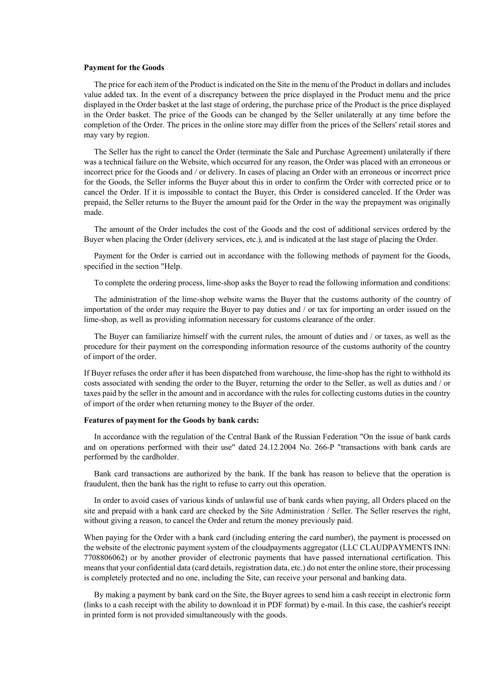## **Payment for the Goods**

 The price for each item of the Product is indicated on the Site in the menu of the Product in dollars and includes value added tax. In the event of a discrepancy between the price displayed in the Product menu and the price displayed in the Order basket at the last stage of ordering, the purchase price of the Product is the price displayed in the Order basket. The price of the Goods can be changed by the Seller unilaterally at any time before the completion of the Order. The prices in the online store may differ from the prices of the Sellers' retail stores and may vary by region.

 The Seller has the right to cancel the Order (terminate the Sale and Purchase Agreement) unilaterally if there was a technical failure on the Website, which occurred for any reason, the Order was placed with an erroneous or incorrect price for the Goods and / or delivery. In cases of placing an Order with an erroneous or incorrect price for the Goods, the Seller informs the Buyer about this in order to confirm the Order with corrected price or to cancel the Order. If it is impossible to contact the Buyer, this Order is considered canceled. If the Order was prepaid, the Seller returns to the Buyer the amount paid for the Order in the way the prepayment was originally made.

 The amount of the Order includes the cost of the Goods and the cost of additional services ordered by the Buyer when placing the Order (delivery services, etc.), and is indicated at the last stage of placing the Order.

 Payment for the Order is carried out in accordance with the following methods of payment for the Goods, specified in the section "Help.

To complete the ordering process, lime-shop asks the Buyer to read the following information and conditions:

 The administration of the lime-shop website warns the Buyer that the customs authority of the country of importation of the order may require the Buyer to pay duties and / or tax for importing an order issued on the lime-shop, as well as providing information necessary for customs clearance of the order.

 The Buyer can familiarize himself with the current rules, the amount of duties and / or taxes, as well as the procedure for their payment on the corresponding information resource of the customs authority of the country of import of the order.

If Buyer refuses the order after it has been dispatched from warehouse, the lime-shop has the right to withhold its costs associated with sending the order to the Buyer, returning the order to the Seller, as well as duties and / or taxes paid by the seller in the amount and in accordance with the rules for collecting customs duties in the country of import of the order when returning money to the Buyer of the order.

#### **Features of payment for the Goods by bank cards:**

 In accordance with the regulation of the Central Bank of the Russian Federation "On the issue of bank cards and on operations performed with their use" dated 24.12.2004 No. 266-P "transactions with bank cards are performed by the cardholder.

 Bank card transactions are authorized by the bank. If the bank has reason to believe that the operation is fraudulent, then the bank has the right to refuse to carry out this operation.

 In order to avoid cases of various kinds of unlawful use of bank cards when paying, all Orders placed on the site and prepaid with a bank card are checked by the Site Administration / Seller. The Seller reserves the right, without giving a reason, to cancel the Order and return the money previously paid.

When paying for the Order with a bank card (including entering the card number), the payment is processed on the website of the electronic payment system of the cloudpayments aggregator (LLC CLAUDPAYMENTS INN: 7708806062) or by another provider of electronic payments that have passed international certification. This means that your confidential data (card details, registration data, etc.) do not enter the online store, their processing is completely protected and no one, including the Site, can receive your personal and banking data.

 By making a payment by bank card on the Site, the Buyer agrees to send him a cash receipt in electronic form (links to a cash receipt with the ability to download it in PDF format) by e-mail. In this case, the cashier's receipt in printed form is not provided simultaneously with the goods.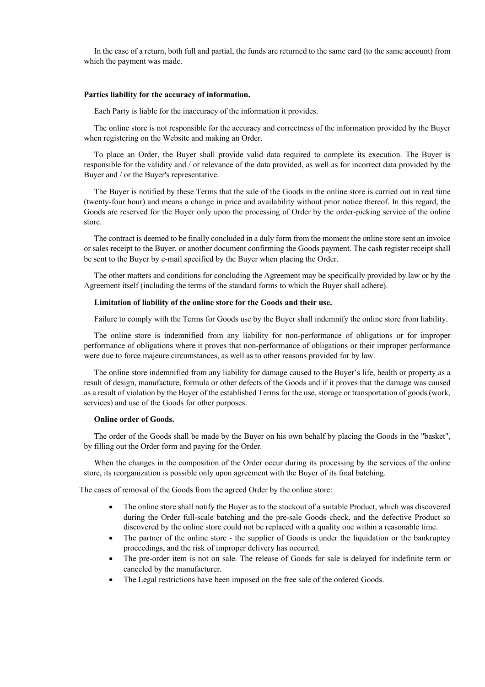In the case of a return, both full and partial, the funds are returned to the same card (to the same account) from which the payment was made.

## **Parties liability for the accuracy of information.**

Each Party is liable for the inaccuracy of the information it provides.

 The online store is not responsible for the accuracy and correctness of the information provided by the Buyer when registering on the Website and making an Order.

 To place an Order, the Buyer shall provide valid data required to complete its execution. The Buyer is responsible for the validity and / or relevance of the data provided, as well as for incorrect data provided by the Buyer and / or the Buyer's representative.

 The Buyer is notified by these Terms that the sale of the Goods in the online store is carried out in real time (twenty-four hour) and means a change in price and availability without prior notice thereof. In this regard, the Goods are reserved for the Buyer only upon the processing of Order by the order-picking service of the online store.

 The contract is deemed to be finally concluded in a duly form from the moment the online store sent an invoice or sales receipt to the Buyer, or another document confirming the Goods payment. The cash register receipt shall be sent to the Buyer by e-mail specified by the Buyer when placing the Order.

 The other matters and conditions for concluding the Agreement may be specifically provided by law or by the Agreement itself (including the terms of the standard forms to which the Buyer shall adhere).

#### **Limitation of liability of the online store for the Goods and their use.**

Failure to comply with the Terms for Goods use by the Buyer shall indemnify the online store from liability.

 The online store is indemnified from any liability for non-performance of obligations or for improper performance of obligations where it proves that non-performance of obligations or their improper performance were due to force majeure circumstances, as well as to other reasons provided for by law.

 The online store indemnified from any liability for damage caused to the Buyer's life, health or property as a result of design, manufacture, formula or other defects of the Goods and if it proves that the damage was caused as a result of violation by the Buyer of the established Terms for the use, storage or transportation of goods (work, services) and use of the Goods for other purposes.

#### **Online order of Goods.**

 The order of the Goods shall be made by the Buyer on his own behalf by placing the Goods in the "basket", by filling out the Order form and paying for the Order.

 When the changes in the composition of the Order occur during its processing by the services of the online store, its reorganization is possible only upon agreement with the Buyer of its final batching.

The cases of removal of the Goods from the agreed Order by the online store:

- The online store shall notify the Buyer as to the stockout of a suitable Product, which was discovered during the Order full-scale batching and the pre-sale Goods check, and the defective Product so discovered by the online store could not be replaced with a quality one within a reasonable time.
- The partner of the online store the supplier of Goods is under the liquidation or the bankruptcy proceedings, and the risk of improper delivery has occurred.
- The pre-order item is not on sale. The release of Goods for sale is delayed for indefinite term or canceled by the manufacturer.
- The Legal restrictions have been imposed on the free sale of the ordered Goods.